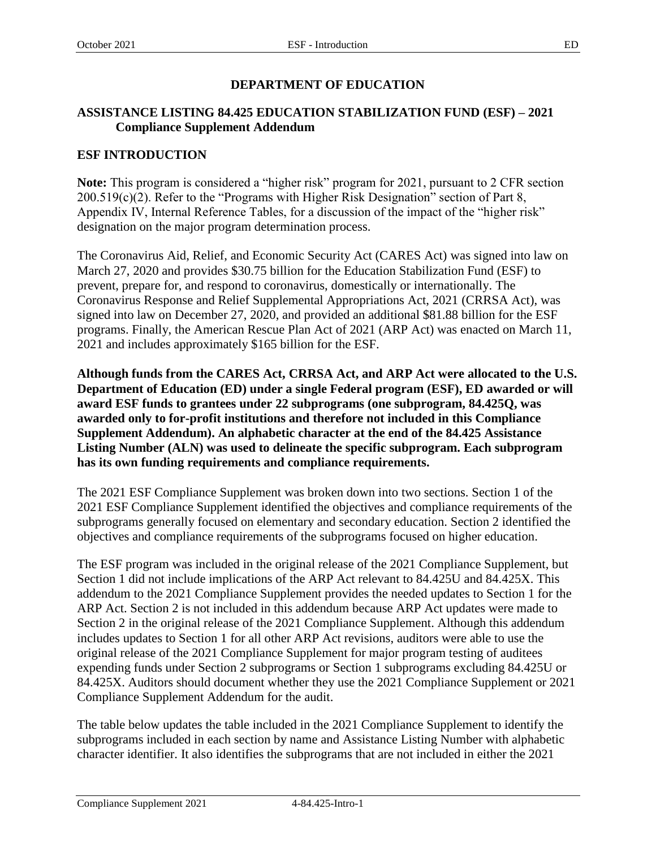# **ASSISTANCE LISTING 84.425 EDUCATION STABILIZATION FUND (ESF) – 2021 Compliance Supplement Addendum**

# **ESF INTRODUCTION**

**Note:** This program is considered a "higher risk" program for 2021, pursuant to 2 CFR section 200.519(c)(2). Refer to the "Programs with Higher Risk Designation" section of Part 8, Appendix IV, Internal Reference Tables, for a discussion of the impact of the "higher risk" designation on the major program determination process.

The Coronavirus Aid, Relief, and Economic Security Act (CARES Act) was signed into law on March 27, 2020 and provides \$30.75 billion for the Education Stabilization Fund (ESF) to prevent, prepare for, and respond to coronavirus, domestically or internationally. The Coronavirus Response and Relief Supplemental Appropriations Act, 2021 (CRRSA Act), was signed into law on December 27, 2020, and provided an additional \$81.88 billion for the ESF programs. Finally, the American Rescue Plan Act of 2021 (ARP Act) was enacted on March 11, 2021 and includes approximately \$165 billion for the ESF.

**Although funds from the CARES Act, CRRSA Act, and ARP Act were allocated to the U.S. Department of Education (ED) under a single Federal program (ESF), ED awarded or will award ESF funds to grantees under 22 subprograms (one subprogram, 84.425Q, was awarded only to for-profit institutions and therefore not included in this Compliance Supplement Addendum). An alphabetic character at the end of the 84.425 Assistance Listing Number (ALN) was used to delineate the specific subprogram. Each subprogram has its own funding requirements and compliance requirements.**

The 2021 ESF Compliance Supplement was broken down into two sections. Section 1 of the 2021 ESF Compliance Supplement identified the objectives and compliance requirements of the subprograms generally focused on elementary and secondary education. Section 2 identified the objectives and compliance requirements of the subprograms focused on higher education.

The ESF program was included in the original release of the 2021 Compliance Supplement, but Section 1 did not include implications of the ARP Act relevant to 84.425U and 84.425X. This addendum to the 2021 Compliance Supplement provides the needed updates to Section 1 for the ARP Act. Section 2 is not included in this addendum because ARP Act updates were made to Section 2 in the original release of the 2021 Compliance Supplement. Although this addendum includes updates to Section 1 for all other ARP Act revisions, auditors were able to use the original release of the 2021 Compliance Supplement for major program testing of auditees expending funds under Section 2 subprograms or Section 1 subprograms excluding 84.425U or 84.425X. Auditors should document whether they use the 2021 Compliance Supplement or 2021 Compliance Supplement Addendum for the audit.

The table below updates the table included in the 2021 Compliance Supplement to identify the subprograms included in each section by name and Assistance Listing Number with alphabetic character identifier. It also identifies the subprograms that are not included in either the 2021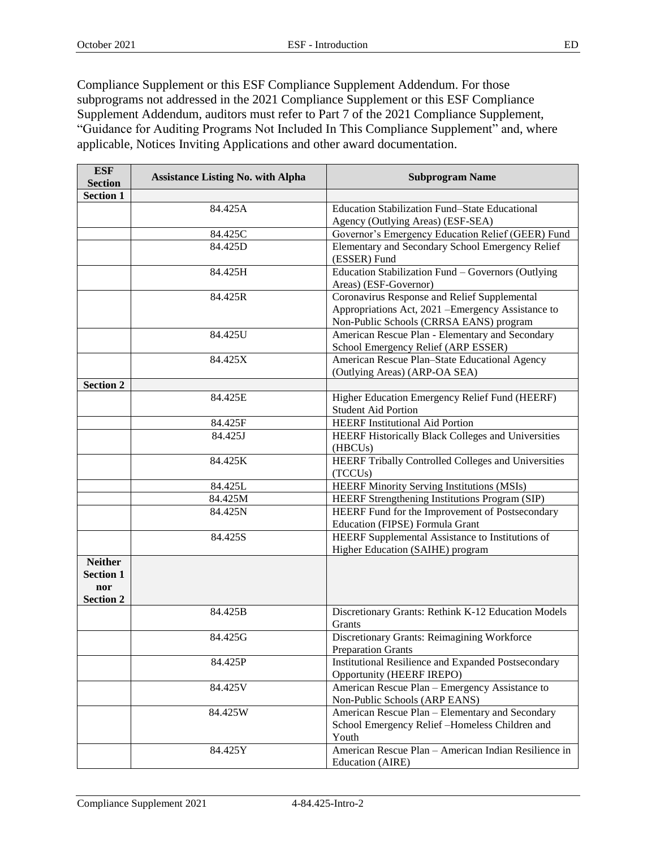Compliance Supplement or this ESF Compliance Supplement Addendum. For those subprograms not addressed in the 2021 Compliance Supplement or this ESF Compliance Supplement Addendum, auditors must refer to Part 7 of the 2021 Compliance Supplement, "Guidance for Auditing Programs Not Included In This Compliance Supplement" and, where applicable, Notices Inviting Applications and other award documentation.

| <b>ESF</b>                                                    | <b>Assistance Listing No. with Alpha</b><br><b>Subprogram Name</b> |                                                                                                                                               |  |  |  |  |  |
|---------------------------------------------------------------|--------------------------------------------------------------------|-----------------------------------------------------------------------------------------------------------------------------------------------|--|--|--|--|--|
| <b>Section</b>                                                |                                                                    |                                                                                                                                               |  |  |  |  |  |
| <b>Section 1</b>                                              |                                                                    |                                                                                                                                               |  |  |  |  |  |
|                                                               | 84.425A                                                            | Education Stabilization Fund-State Educational                                                                                                |  |  |  |  |  |
|                                                               |                                                                    | Agency (Outlying Areas) (ESF-SEA)                                                                                                             |  |  |  |  |  |
|                                                               | 84.425C                                                            | Governor's Emergency Education Relief (GEER) Fund                                                                                             |  |  |  |  |  |
|                                                               | 84.425D                                                            | Elementary and Secondary School Emergency Relief<br>(ESSER) Fund                                                                              |  |  |  |  |  |
|                                                               | 84.425H                                                            | Education Stabilization Fund - Governors (Outlying<br>Areas) (ESF-Governor)                                                                   |  |  |  |  |  |
|                                                               | 84.425R                                                            | Coronavirus Response and Relief Supplemental<br>Appropriations Act, 2021 - Emergency Assistance to<br>Non-Public Schools (CRRSA EANS) program |  |  |  |  |  |
|                                                               | 84.425U                                                            | American Rescue Plan - Elementary and Secondary<br>School Emergency Relief (ARP ESSER)                                                        |  |  |  |  |  |
|                                                               | 84.425X                                                            | American Rescue Plan-State Educational Agency<br>(Outlying Areas) (ARP-OA SEA)                                                                |  |  |  |  |  |
| <b>Section 2</b>                                              |                                                                    |                                                                                                                                               |  |  |  |  |  |
|                                                               | 84.425E                                                            | Higher Education Emergency Relief Fund (HEERF)<br><b>Student Aid Portion</b>                                                                  |  |  |  |  |  |
|                                                               | 84.425F                                                            | <b>HEERF</b> Institutional Aid Portion                                                                                                        |  |  |  |  |  |
|                                                               | 84.425J                                                            | HEERF Historically Black Colleges and Universities<br>(HBCUs)                                                                                 |  |  |  |  |  |
|                                                               | 84.425K                                                            | HEERF Tribally Controlled Colleges and Universities<br>(TCCUs)                                                                                |  |  |  |  |  |
|                                                               | 84.425L                                                            | HEERF Minority Serving Institutions (MSIs)                                                                                                    |  |  |  |  |  |
|                                                               | 84.425M                                                            | HEERF Strengthening Institutions Program (SIP)                                                                                                |  |  |  |  |  |
|                                                               | 84.425N                                                            | HEERF Fund for the Improvement of Postsecondary<br>Education (FIPSE) Formula Grant                                                            |  |  |  |  |  |
|                                                               | 84.425S                                                            | HEERF Supplemental Assistance to Institutions of<br>Higher Education (SAIHE) program                                                          |  |  |  |  |  |
| <b>Neither</b><br><b>Section 1</b><br>nor<br><b>Section 2</b> |                                                                    |                                                                                                                                               |  |  |  |  |  |
|                                                               | 84.425B                                                            | Discretionary Grants: Rethink K-12 Education Models<br>Grants                                                                                 |  |  |  |  |  |
|                                                               | 84.425G                                                            | Discretionary Grants: Reimagining Workforce<br><b>Preparation Grants</b>                                                                      |  |  |  |  |  |
|                                                               | 84.425P                                                            | Institutional Resilience and Expanded Postsecondary<br>Opportunity (HEERF IREPO)                                                              |  |  |  |  |  |
|                                                               | 84.425V                                                            | American Rescue Plan - Emergency Assistance to<br>Non-Public Schools (ARP EANS)                                                               |  |  |  |  |  |
|                                                               | 84.425W                                                            | American Rescue Plan - Elementary and Secondary<br>School Emergency Relief -Homeless Children and<br>Youth                                    |  |  |  |  |  |
|                                                               | 84.425Y                                                            | American Rescue Plan – American Indian Resilience in<br>Education (AIRE)                                                                      |  |  |  |  |  |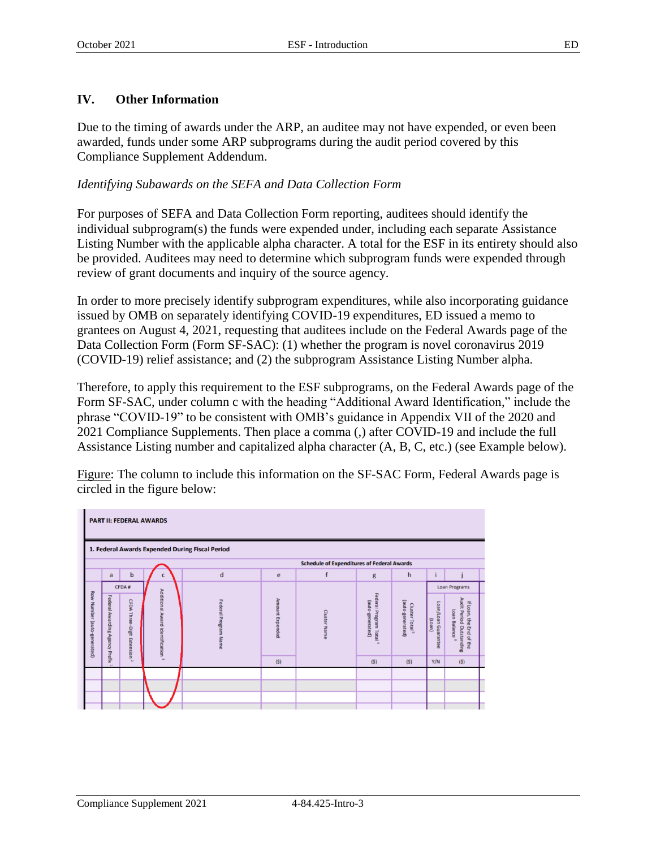# **IV. Other Information**

Due to the timing of awards under the ARP, an auditee may not have expended, or even been awarded, funds under some ARP subprograms during the audit period covered by this Compliance Supplement Addendum.

#### *Identifying Subawards on the SEFA and Data Collection Form*

For purposes of SEFA and Data Collection Form reporting, auditees should identify the individual subprogram(s) the funds were expended under, including each separate Assistance Listing Number with the applicable alpha character. A total for the ESF in its entirety should also be provided. Auditees may need to determine which subprogram funds were expended through review of grant documents and inquiry of the source agency.

In order to more precisely identify subprogram expenditures, while also incorporating guidance issued by OMB on separately identifying COVID-19 expenditures, ED issued a memo to grantees on August 4, 2021, requesting that auditees include on the Federal Awards page of the Data Collection Form (Form SF-SAC): (1) whether the program is novel coronavirus 2019 (COVID-19) relief assistance; and (2) the subprogram Assistance Listing Number alpha.

Therefore, to apply this requirement to the ESF subprograms, on the Federal Awards page of the Form SF-SAC, under column c with the heading "Additional Award Identification," include the phrase "COVID-19" to be consistent with OMB's guidance in Appendix VII of the 2020 and 2021 Compliance Supplements. Then place a comma (,) after COVID-19 and include the full Assistance Listing number and capitalized alpha character (A, B, C, etc.) (see Example below).

Figure: The column to include this information on the SF-SAC Form, Federal Awards page is circled in the figure below:

|                            |                                                 |                                   | <b>PART II: FEDERAL AWARDS</b>               |                                                                |     |                                                   |                                                        |                                                |                                       |                                                                                  |  |
|----------------------------|-------------------------------------------------|-----------------------------------|----------------------------------------------|----------------------------------------------------------------|-----|---------------------------------------------------|--------------------------------------------------------|------------------------------------------------|---------------------------------------|----------------------------------------------------------------------------------|--|
|                            | 1. Federal Awards Expended During Fiscal Period |                                   |                                              |                                                                |     |                                                   |                                                        |                                                |                                       |                                                                                  |  |
|                            |                                                 |                                   |                                              |                                                                |     | <b>Schedule of Expenditures of Federal Awards</b> |                                                        |                                                |                                       |                                                                                  |  |
|                            | a                                               | b                                 | C                                            | d                                                              | e   | $\mathbf f$                                       | g                                                      | h                                              |                                       |                                                                                  |  |
|                            | CFDA#                                           |                                   |                                              |                                                                |     |                                                   | <b>Loan Programs</b>                                   |                                                |                                       |                                                                                  |  |
| Row Number (auto-generated | Federal Awarding Agency Prefix                  | <b>CFDA Three-Digit Extension</b> | Additional Award Identification <sup>3</sup> | Amount Expended<br>Federal Program Name<br><b>Cluster Name</b> |     |                                                   | Federal Program Total <sup>4</sup><br>(auto-generated) | (auto-generated)<br>Cluster Total <sup>3</sup> | Loan/Loan Guarantee<br>$($ ueo $\eta$ | Audit Period Outstanding<br>If Loan, the End of the<br>Loan Balance<br>$\bullet$ |  |
|                            | $\mathbf{r}$                                    | w                                 |                                              |                                                                | (S) |                                                   | (S)                                                    | (S)                                            | Y/N                                   | (S)                                                                              |  |
|                            |                                                 |                                   |                                              |                                                                |     |                                                   |                                                        |                                                |                                       |                                                                                  |  |
|                            |                                                 |                                   |                                              |                                                                |     |                                                   |                                                        |                                                |                                       |                                                                                  |  |
|                            |                                                 |                                   |                                              |                                                                |     |                                                   |                                                        |                                                |                                       |                                                                                  |  |
|                            |                                                 |                                   |                                              |                                                                |     |                                                   |                                                        |                                                |                                       |                                                                                  |  |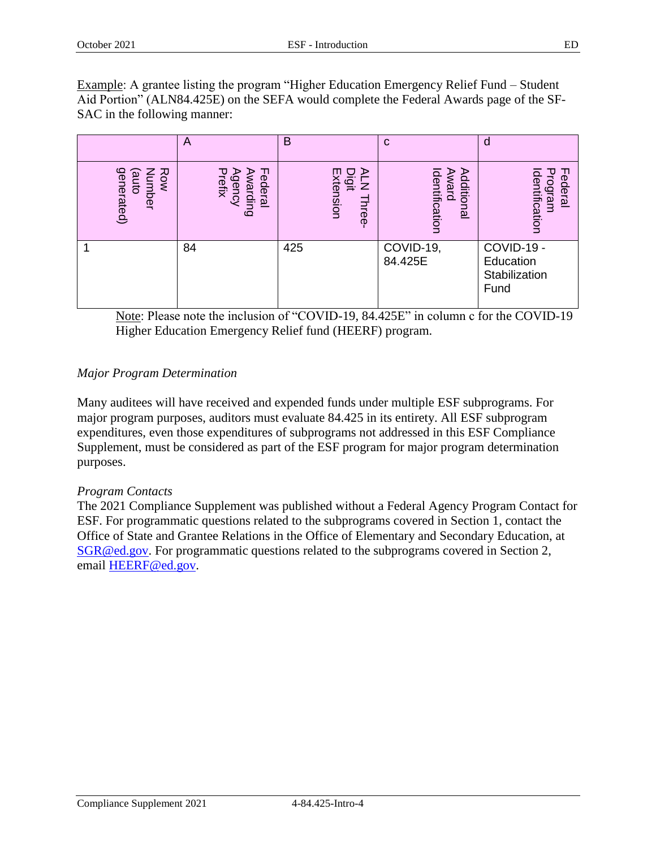Example: A grantee listing the program "Higher Education Emergency Relief Fund – Student Aid Portion" (ALN84.425E) on the SEFA would complete the Federal Awards page of the SF-SAC in the following manner:

|                                                                 | A                                                           | B                                 | $\mathbf C$                          | O                                                |
|-----------------------------------------------------------------|-------------------------------------------------------------|-----------------------------------|--------------------------------------|--------------------------------------------------|
| generated)<br>Row<br>⋜<br>$\overline{\mathbf{p}}$<br>umber<br>등 | ᆩ<br>Prefix<br>⋗<br><b>Agency</b><br>ederal<br>≲<br>/arding | Digit<br>Extension<br>⋗<br>Three- | dentification<br>Award<br>Additional | Program<br>dentification<br>ederal               |
|                                                                 | 84                                                          | 425                               | COVID-19,<br>84.425E                 | COVID-19 -<br>Education<br>Stabilization<br>Fund |

Note: Please note the inclusion of "COVID-19, 84.425E" in column c for the COVID-19 Higher Education Emergency Relief fund (HEERF) program.

# *Major Program Determination*

Many auditees will have received and expended funds under multiple ESF subprograms. For major program purposes, auditors must evaluate 84.425 in its entirety. All ESF subprogram expenditures, even those expenditures of subprograms not addressed in this ESF Compliance Supplement, must be considered as part of the ESF program for major program determination purposes.

# *Program Contacts*

The 2021 Compliance Supplement was published without a Federal Agency Program Contact for ESF. For programmatic questions related to the subprograms covered in Section 1, contact the Office of State and Grantee Relations in the Office of Elementary and Secondary Education, at [SGR@ed.gov.](mailto:SGR@ed.gov) For programmatic questions related to the subprograms covered in Section 2, email [HEERF@ed.gov.](mailto:HEERF@ed.gov)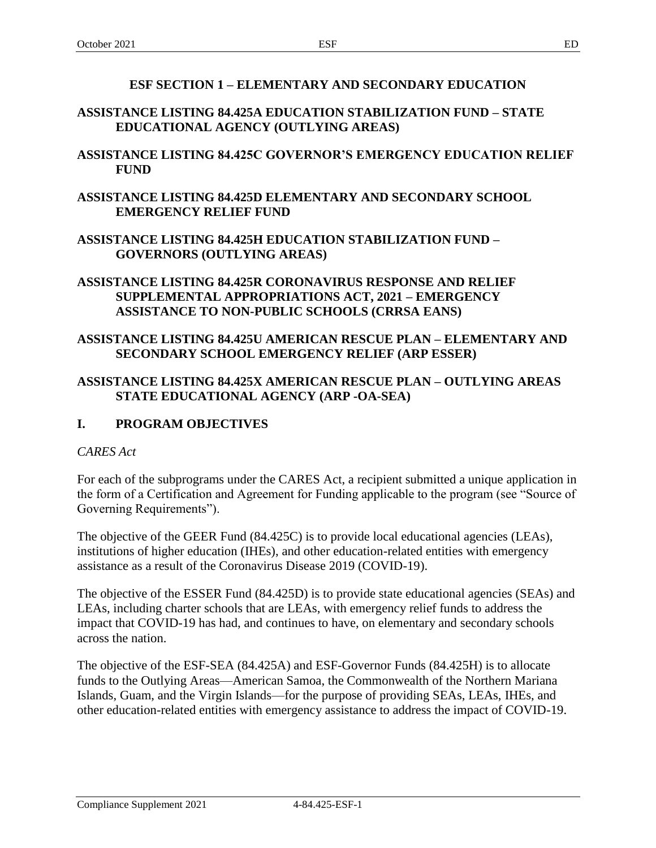#### **ESF SECTION 1 – ELEMENTARY AND SECONDARY EDUCATION**

# **ASSISTANCE LISTING 84.425A EDUCATION STABILIZATION FUND – STATE EDUCATIONAL AGENCY (OUTLYING AREAS)**

# **ASSISTANCE LISTING 84.425C GOVERNOR'S EMERGENCY EDUCATION RELIEF FUND**

#### **ASSISTANCE LISTING 84.425D ELEMENTARY AND SECONDARY SCHOOL EMERGENCY RELIEF FUND**

#### **ASSISTANCE LISTING 84.425H EDUCATION STABILIZATION FUND – GOVERNORS (OUTLYING AREAS)**

#### **ASSISTANCE LISTING 84.425R CORONAVIRUS RESPONSE AND RELIEF SUPPLEMENTAL APPROPRIATIONS ACT, 2021 – EMERGENCY ASSISTANCE TO NON-PUBLIC SCHOOLS (CRRSA EANS)**

#### **ASSISTANCE LISTING 84.425U AMERICAN RESCUE PLAN – ELEMENTARY AND SECONDARY SCHOOL EMERGENCY RELIEF (ARP ESSER)**

#### **ASSISTANCE LISTING 84.425X AMERICAN RESCUE PLAN – OUTLYING AREAS STATE EDUCATIONAL AGENCY (ARP -OA-SEA)**

# **I. PROGRAM OBJECTIVES**

#### *CARES Act*

For each of the subprograms under the CARES Act, a recipient submitted a unique application in the form of a Certification and Agreement for Funding applicable to the program (see "Source of Governing Requirements").

The objective of the GEER Fund (84.425C) is to provide local educational agencies (LEAs), institutions of higher education (IHEs), and other education-related entities with emergency assistance as a result of the Coronavirus Disease 2019 (COVID-19).

The objective of the ESSER Fund (84.425D) is to provide state educational agencies (SEAs) and LEAs, including charter schools that are LEAs, with emergency relief funds to address the impact that COVID-19 has had, and continues to have, on elementary and secondary schools across the nation.

The objective of the ESF-SEA (84.425A) and ESF-Governor Funds (84.425H) is to allocate funds to the Outlying Areas—American Samoa, the Commonwealth of the Northern Mariana Islands, Guam, and the Virgin Islands—for the purpose of providing SEAs, LEAs, IHEs, and other education-related entities with emergency assistance to address the impact of COVID-19.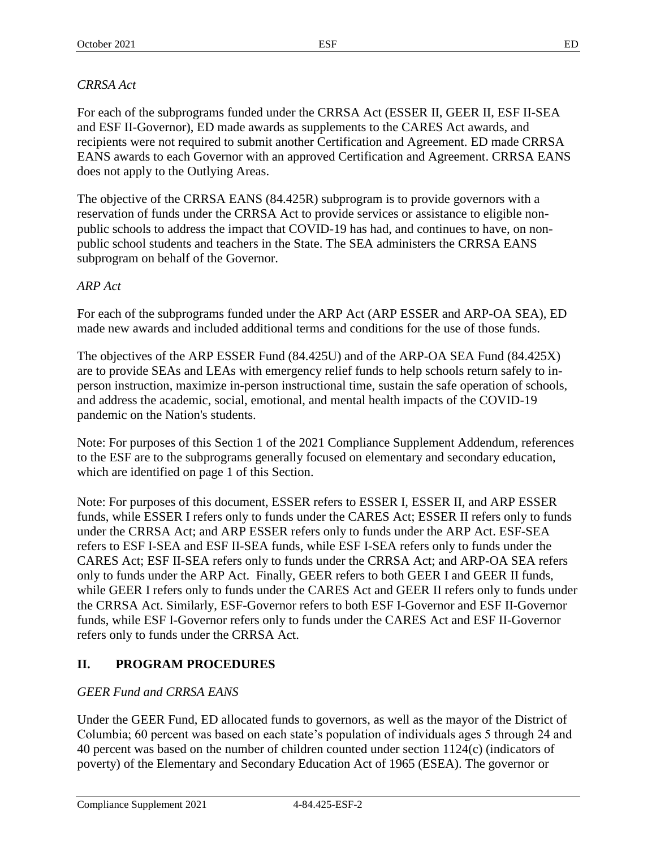#### *CRRSA Act*

For each of the subprograms funded under the CRRSA Act (ESSER II, GEER II, ESF II-SEA and ESF II-Governor), ED made awards as supplements to the CARES Act awards, and recipients were not required to submit another Certification and Agreement. ED made CRRSA EANS awards to each Governor with an approved Certification and Agreement. CRRSA EANS does not apply to the Outlying Areas.

The objective of the CRRSA EANS (84.425R) subprogram is to provide governors with a reservation of funds under the CRRSA Act to provide services or assistance to eligible nonpublic schools to address the impact that COVID-19 has had, and continues to have, on nonpublic school students and teachers in the State. The SEA administers the CRRSA EANS subprogram on behalf of the Governor.

#### *ARP Act*

For each of the subprograms funded under the ARP Act (ARP ESSER and ARP-OA SEA), ED made new awards and included additional terms and conditions for the use of those funds.

The objectives of the ARP ESSER Fund (84.425U) and of the ARP-OA SEA Fund (84.425X) are to provide SEAs and LEAs with emergency relief funds to help schools return safely to inperson instruction, maximize in-person instructional time, sustain the safe operation of schools, and address the academic, social, emotional, and mental health impacts of the COVID-19 pandemic on the Nation's students.

Note: For purposes of this Section 1 of the 2021 Compliance Supplement Addendum, references to the ESF are to the subprograms generally focused on elementary and secondary education, which are identified on page 1 of this Section.

Note: For purposes of this document, ESSER refers to ESSER I, ESSER II, and ARP ESSER funds, while ESSER I refers only to funds under the CARES Act; ESSER II refers only to funds under the CRRSA Act; and ARP ESSER refers only to funds under the ARP Act. ESF-SEA refers to ESF I-SEA and ESF II-SEA funds, while ESF I-SEA refers only to funds under the CARES Act; ESF II-SEA refers only to funds under the CRRSA Act; and ARP-OA SEA refers only to funds under the ARP Act. Finally, GEER refers to both GEER I and GEER II funds, while GEER I refers only to funds under the CARES Act and GEER II refers only to funds under the CRRSA Act. Similarly, ESF-Governor refers to both ESF I-Governor and ESF II-Governor funds, while ESF I-Governor refers only to funds under the CARES Act and ESF II-Governor refers only to funds under the CRRSA Act.

# **II. PROGRAM PROCEDURES**

# *GEER Fund and CRRSA EANS*

Under the GEER Fund, ED allocated funds to governors, as well as the mayor of the District of Columbia; 60 percent was based on each state's population of individuals ages 5 through 24 and 40 percent was based on the number of children counted under section 1124(c) (indicators of poverty) of the Elementary and Secondary Education Act of 1965 (ESEA). The governor or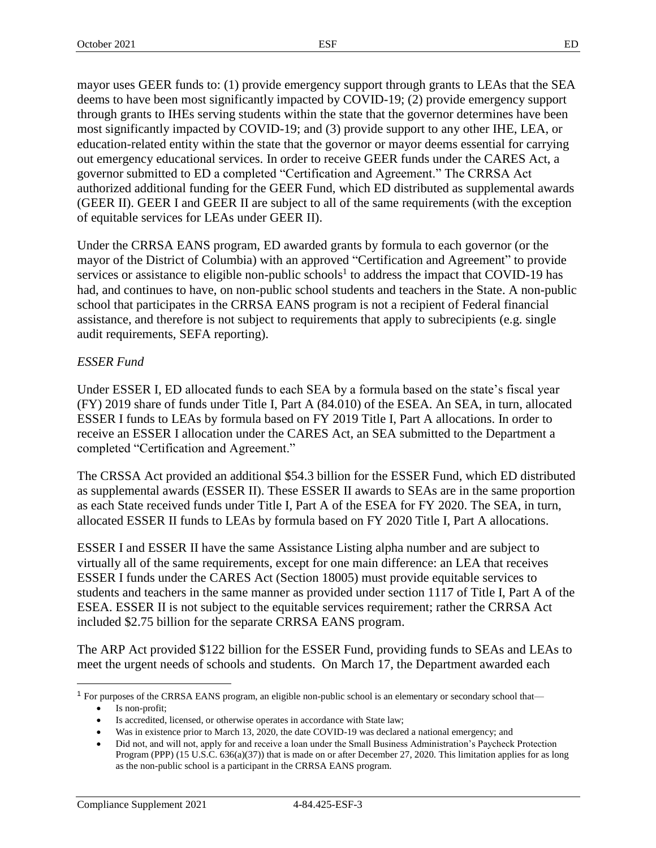mayor uses GEER funds to: (1) provide emergency support through grants to LEAs that the SEA deems to have been most significantly impacted by COVID-19; (2) provide emergency support through grants to IHEs serving students within the state that the governor determines have been most significantly impacted by COVID-19; and (3) provide support to any other IHE, LEA, or education-related entity within the state that the governor or mayor deems essential for carrying out emergency educational services. In order to receive GEER funds under the CARES Act, a governor submitted to ED a completed "Certification and Agreement." The CRRSA Act authorized additional funding for the GEER Fund, which ED distributed as supplemental awards (GEER II). GEER I and GEER II are subject to all of the same requirements (with the exception of equitable services for LEAs under GEER II).

Under the CRRSA EANS program, ED awarded grants by formula to each governor (or the mayor of the District of Columbia) with an approved "Certification and Agreement" to provide services or assistance to eligible non-public schools<sup>1</sup> to address the impact that COVID-19 has had, and continues to have, on non-public school students and teachers in the State. A non-public school that participates in the CRRSA EANS program is not a recipient of Federal financial assistance, and therefore is not subject to requirements that apply to subrecipients (e.g. single audit requirements, SEFA reporting).

# *ESSER Fund*

Under ESSER I, ED allocated funds to each SEA by a formula based on the state's fiscal year (FY) 2019 share of funds under Title I, Part A (84.010) of the ESEA. An SEA, in turn, allocated ESSER I funds to LEAs by formula based on FY 2019 Title I, Part A allocations. In order to receive an ESSER I allocation under the CARES Act, an SEA submitted to the Department a completed "Certification and Agreement."

The CRSSA Act provided an additional \$54.3 billion for the ESSER Fund, which ED distributed as supplemental awards (ESSER II). These ESSER II awards to SEAs are in the same proportion as each State received funds under Title I, Part A of the ESEA for FY 2020. The SEA, in turn, allocated ESSER II funds to LEAs by formula based on FY 2020 Title I, Part A allocations.

ESSER I and ESSER II have the same Assistance Listing alpha number and are subject to virtually all of the same requirements, except for one main difference: an LEA that receives ESSER I funds under the CARES Act (Section 18005) must provide equitable services to students and teachers in the same manner as provided under section 1117 of Title I, Part A of the ESEA. ESSER II is not subject to the equitable services requirement; rather the CRRSA Act included \$2.75 billion for the separate CRRSA EANS program.

The ARP Act provided \$122 billion for the ESSER Fund, providing funds to SEAs and LEAs to meet the urgent needs of schools and students. On March 17, the Department awarded each

 $\overline{a}$ 

<sup>1</sup> For purposes of the CRRSA EANS program, an eligible non-public school is an elementary or secondary school that—

Is non-profit;

Is accredited, licensed, or otherwise operates in accordance with State law;

Was in existence prior to March 13, 2020, the date COVID-19 was declared a national emergency; and

<sup>•</sup> Did not, and will not, apply for and receive a loan under the Small Business Administration's Paycheck Protection Program (PPP) (15 U.S.C. 636(a)(37)) that is made on or after December 27, 2020. This limitation applies for as long as the non-public school is a participant in the CRRSA EANS program.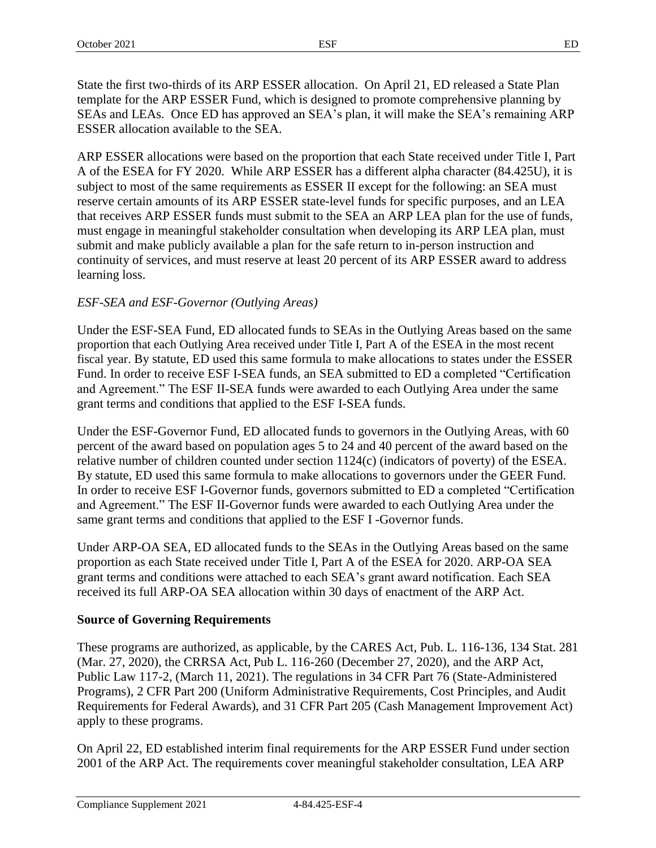State the first two-thirds of its ARP ESSER allocation. On April 21, ED released a State Plan template for the ARP ESSER Fund, which is designed to promote comprehensive planning by SEAs and LEAs. Once ED has approved an SEA's plan, it will make the SEA's remaining ARP ESSER allocation available to the SEA.

ARP ESSER allocations were based on the proportion that each State received under Title I, Part A of the ESEA for FY 2020. While ARP ESSER has a different alpha character (84.425U), it is subject to most of the same requirements as ESSER II except for the following: an SEA must reserve certain amounts of its ARP ESSER state-level funds for specific purposes, and an LEA that receives ARP ESSER funds must submit to the SEA an ARP LEA plan for the use of funds, must engage in meaningful stakeholder consultation when developing its ARP LEA plan, must submit and make publicly available a plan for the safe return to in-person instruction and continuity of services, and must reserve at least 20 percent of its ARP ESSER award to address learning loss.

# *ESF-SEA and ESF-Governor (Outlying Areas)*

Under the ESF-SEA Fund, ED allocated funds to SEAs in the Outlying Areas based on the same proportion that each Outlying Area received under Title I, Part A of the ESEA in the most recent fiscal year. By statute, ED used this same formula to make allocations to states under the ESSER Fund. In order to receive ESF I-SEA funds, an SEA submitted to ED a completed "Certification and Agreement." The ESF II-SEA funds were awarded to each Outlying Area under the same grant terms and conditions that applied to the ESF I-SEA funds.

Under the ESF-Governor Fund, ED allocated funds to governors in the Outlying Areas, with 60 percent of the award based on population ages 5 to 24 and 40 percent of the award based on the relative number of children counted under section 1124(c) (indicators of poverty) of the ESEA. By statute, ED used this same formula to make allocations to governors under the GEER Fund. In order to receive ESF I-Governor funds, governors submitted to ED a completed "Certification and Agreement." The ESF II-Governor funds were awarded to each Outlying Area under the same grant terms and conditions that applied to the ESF I -Governor funds.

Under ARP-OA SEA, ED allocated funds to the SEAs in the Outlying Areas based on the same proportion as each State received under Title I, Part A of the ESEA for 2020. ARP-OA SEA grant terms and conditions were attached to each SEA's grant award notification. Each SEA received its full ARP-OA SEA allocation within 30 days of enactment of the ARP Act.

# **Source of Governing Requirements**

These programs are authorized, as applicable, by the CARES Act, Pub. L. 116-136, 134 Stat. 281 (Mar. 27, 2020), the CRRSA Act, Pub L. 116-260 (December 27, 2020), and the ARP Act, Public Law 117-2, (March 11, 2021). The regulations in 34 CFR Part 76 (State-Administered Programs), 2 CFR Part 200 (Uniform Administrative Requirements, Cost Principles, and Audit Requirements for Federal Awards), and 31 CFR Part 205 (Cash Management Improvement Act) apply to these programs.

On April 22, ED established interim final requirements for the ARP ESSER Fund under section 2001 of the ARP Act. The requirements cover meaningful stakeholder consultation, LEA ARP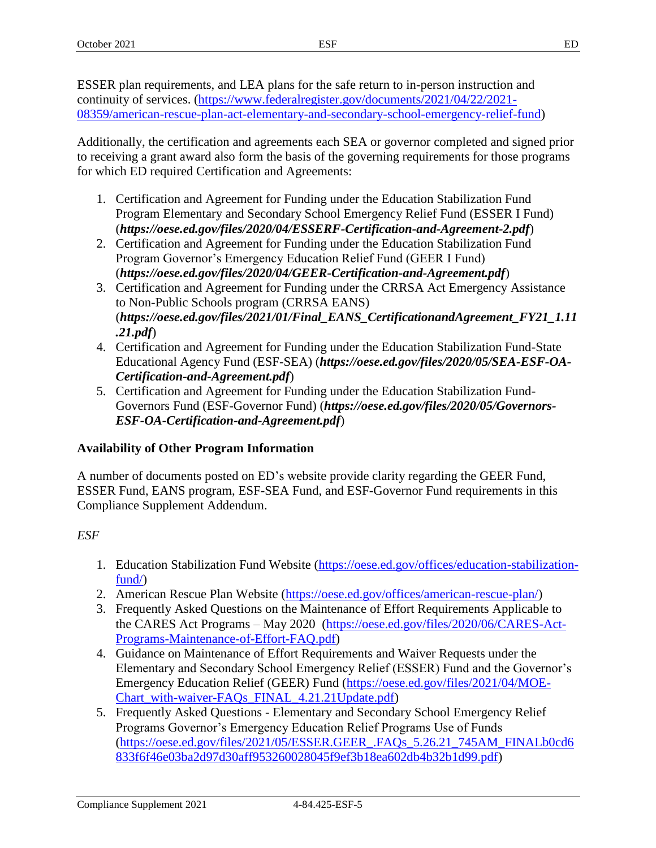ESSER plan requirements, and LEA plans for the safe return to in-person instruction and continuity of services. [\(https://www.federalregister.gov/documents/2021/04/22/2021-](https://www.federalregister.gov/documents/2021/04/22/2021-08359/american-rescue-plan-act-elementary-and-secondary-school-emergency-relief-fund) [08359/american-rescue-plan-act-elementary-and-secondary-school-emergency-relief-fund\)](https://www.federalregister.gov/documents/2021/04/22/2021-08359/american-rescue-plan-act-elementary-and-secondary-school-emergency-relief-fund)

Additionally, the certification and agreements each SEA or governor completed and signed prior to receiving a grant award also form the basis of the governing requirements for those programs for which ED required Certification and Agreements:

- 1. Certification and Agreement for Funding under the Education Stabilization Fund Program Elementary and Secondary School Emergency Relief Fund (ESSER I Fund) (*<https://oese.ed.gov/files/2020/04/ESSERF-Certification-and-Agreement-2.pdf>*)
- 2. Certification and Agreement for Funding under the Education Stabilization Fund Program Governor's Emergency Education Relief Fund (GEER I Fund) (*<https://oese.ed.gov/files/2020/04/GEER-Certification-and-Agreement.pdf>*)
- 3. Certification and Agreement for Funding under the CRRSA Act Emergency Assistance to Non-Public Schools program (CRRSA EANS) (*[https://oese.ed.gov/files/2021/01/Final\\_EANS\\_CertificationandAgreement\\_FY21\\_1.11](https://oese.ed.gov/files/2021/01/Final_EANS_CertificationandAgreement_FY21_1.11.21.pdf) [.21.pdf](https://oese.ed.gov/files/2021/01/Final_EANS_CertificationandAgreement_FY21_1.11.21.pdf)*)
- 4. Certification and Agreement for Funding under the Education Stabilization Fund-State Educational Agency Fund (ESF-SEA) (*[https://oese.ed.gov/files/2020/05/SEA-ESF-OA-](https://oese.ed.gov/files/2020/05/SEA-ESF-OA-Certification-and-Agreement.pdf)[Certification-and-Agreement.pdf](https://oese.ed.gov/files/2020/05/SEA-ESF-OA-Certification-and-Agreement.pdf)*)
- 5. Certification and Agreement for Funding under the Education Stabilization Fund-Governors Fund (ESF-Governor Fund) (*[https://oese.ed.gov/files/2020/05/Governors-](https://oese.ed.gov/files/2020/05/Governors-ESF-OA-Certification-and-Agreement.pdf)[ESF-OA-Certification-and-Agreement.pdf](https://oese.ed.gov/files/2020/05/Governors-ESF-OA-Certification-and-Agreement.pdf)*)

# **Availability of Other Program Information**

A number of documents posted on ED's website provide clarity regarding the GEER Fund, ESSER Fund, EANS program, ESF-SEA Fund, and ESF-Governor Fund requirements in this Compliance Supplement Addendum.

# *ESF*

- 1. Education Stabilization Fund Website [\(https://oese.ed.gov/offices/education-stabilization](https://oese.ed.gov/offices/education-stabilization-fund/)fund $\land$
- 2. American Rescue Plan Website [\(https://oese.ed.gov/offices/american-rescue-plan/\)](https://oese.ed.gov/offices/american-rescue-plan/)
- 3. Frequently Asked Questions on the Maintenance of Effort Requirements Applicable to the CARES Act Programs – May 2020 [\(https://oese.ed.gov/files/2020/06/CARES-Act-](https://oese.ed.gov/files/2020/06/CARES-Act-Programs-Maintenance-of-Effort-FAQ.pdf)[Programs-Maintenance-of-Effort-FAQ.pdf\)](https://oese.ed.gov/files/2020/06/CARES-Act-Programs-Maintenance-of-Effort-FAQ.pdf)
- 4. Guidance on Maintenance of Effort Requirements and Waiver Requests under the Elementary and Secondary School Emergency Relief (ESSER) Fund and the Governor's Emergency Education Relief (GEER) Fund [\(https://oese.ed.gov/files/2021/04/MOE-](https://oese.ed.gov/files/2021/04/MOE-Chart_with-waiver-FAQs_FINAL_4.21.21Update.pdf)[Chart\\_with-waiver-FAQs\\_FINAL\\_4.21.21Update.pdf\)](https://oese.ed.gov/files/2021/04/MOE-Chart_with-waiver-FAQs_FINAL_4.21.21Update.pdf)
- 5. Frequently Asked Questions Elementary and Secondary School Emergency Relief Programs Governor's Emergency Education Relief Programs Use of Funds [\(https://oese.ed.gov/files/2021/05/ESSER.GEER\\_.FAQs\\_5.26.21\\_745AM\\_FINALb0cd6](https://oese.ed.gov/files/2021/05/ESSER.GEER_.FAQs_5.26.21_745AM_FINALb0cd6833f6f46e03ba2d97d30aff953260028045f9ef3b18ea602db4b32b1d99.pdf) [833f6f46e03ba2d97d30aff953260028045f9ef3b18ea602db4b32b1d99.pdf\)](https://oese.ed.gov/files/2021/05/ESSER.GEER_.FAQs_5.26.21_745AM_FINALb0cd6833f6f46e03ba2d97d30aff953260028045f9ef3b18ea602db4b32b1d99.pdf)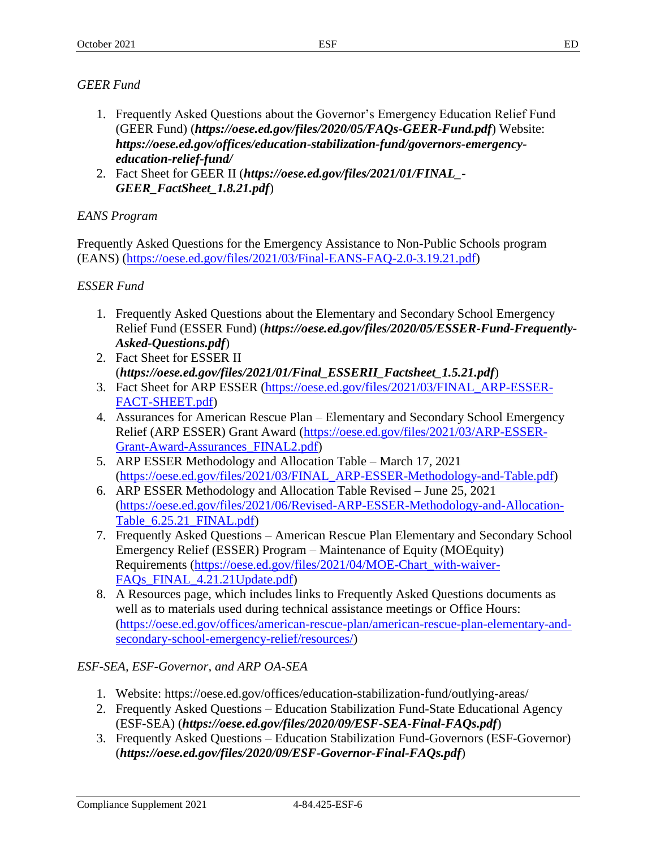# *GEER Fund*

- 1. Frequently Asked Questions about the Governor's Emergency Education Relief Fund (GEER Fund) (*<https://oese.ed.gov/files/2020/05/FAQs-GEER-Fund.pdf>*) Website: *[https://oese.ed.gov/offices/education-stabilization-fund/governors-emergency](https://oese.ed.gov/offices/education-stabilization-fund/governors-emergency-education-relief-fund/)[education-relief-fund/](https://oese.ed.gov/offices/education-stabilization-fund/governors-emergency-education-relief-fund/)*
- 2. Fact Sheet for GEER II (*[https://oese.ed.gov/files/2021/01/FINAL\\_-](https://oese.ed.gov/files/2021/01/FINAL_-GEER_FactSheet_1.8.21.pdf) [GEER\\_FactSheet\\_1.8.21.pdf](https://oese.ed.gov/files/2021/01/FINAL_-GEER_FactSheet_1.8.21.pdf)*)

# *EANS Program*

Frequently Asked Questions for the Emergency Assistance to Non-Public Schools program (EANS) [\(https://oese.ed.gov/files/2021/03/Final-EANS-FAQ-2.0-3.19.21.pdf\)](https://oese.ed.gov/files/2021/03/Final-EANS-FAQ-2.0-3.19.21.pdf)

# *ESSER Fund*

- 1. Frequently Asked Questions about the Elementary and Secondary School Emergency Relief Fund (ESSER Fund) (*[https://oese.ed.gov/files/2020/05/ESSER-Fund-Frequently-](https://oese.ed.gov/files/2020/05/ESSER-Fund-Frequently-Asked-Questions.pdf)[Asked-Questions.pdf](https://oese.ed.gov/files/2020/05/ESSER-Fund-Frequently-Asked-Questions.pdf)*)
- 2. Fact Sheet for ESSER II (*[https://oese.ed.gov/files/2021/01/Final\\_ESSERII\\_Factsheet\\_1.5.21.pdf](https://oese.ed.gov/files/2021/01/Final_ESSERII_Factsheet_1.5.21.pdf)*)
- 3. Fact Sheet for ARP ESSER [\(https://oese.ed.gov/files/2021/03/FINAL\\_ARP-ESSER-](https://oese.ed.gov/files/2021/03/FINAL_ARP-ESSER-FACT-SHEET.pdf)[FACT-SHEET.pdf\)](https://oese.ed.gov/files/2021/03/FINAL_ARP-ESSER-FACT-SHEET.pdf)
- 4. Assurances for American Rescue Plan Elementary and Secondary School Emergency Relief (ARP ESSER) Grant Award [\(https://oese.ed.gov/files/2021/03/ARP-ESSER-](https://oese.ed.gov/files/2021/03/ARP-ESSER-Grant-Award-Assurances_FINAL2.pdf)[Grant-Award-Assurances\\_FINAL2.pdf\)](https://oese.ed.gov/files/2021/03/ARP-ESSER-Grant-Award-Assurances_FINAL2.pdf)
- 5. ARP ESSER Methodology and Allocation Table March 17, 2021 [\(https://oese.ed.gov/files/2021/03/FINAL\\_ARP-ESSER-Methodology-and-Table.pdf\)](https://oese.ed.gov/files/2021/03/FINAL_ARP-ESSER-Methodology-and-Table.pdf)
- 6. ARP ESSER Methodology and Allocation Table Revised June 25, 2021 [\(https://oese.ed.gov/files/2021/06/Revised-ARP-ESSER-Methodology-and-Allocation-](https://oese.ed.gov/files/2021/06/Revised-ARP-ESSER-Methodology-and-Allocation-Table_6.25.21_FINAL.pdf)[Table\\_6.25.21\\_FINAL.pdf\)](https://oese.ed.gov/files/2021/06/Revised-ARP-ESSER-Methodology-and-Allocation-Table_6.25.21_FINAL.pdf)
- 7. Frequently Asked Questions American Rescue Plan Elementary and Secondary School Emergency Relief (ESSER) Program – Maintenance of Equity (MOEquity) Requirements [\(https://oese.ed.gov/files/2021/04/MOE-Chart\\_with-waiver-](https://oese.ed.gov/files/2021/04/MOE-Chart_with-waiver-FAQs_FINAL_4.21.21Update.pdf)[FAQs\\_FINAL\\_4.21.21Update.pdf\)](https://oese.ed.gov/files/2021/04/MOE-Chart_with-waiver-FAQs_FINAL_4.21.21Update.pdf)
- 8. A Resources page, which includes links to Frequently Asked Questions documents as well as to materials used during technical assistance meetings or Office Hours: [\(https://oese.ed.gov/offices/american-rescue-plan/american-rescue-plan-elementary-and](https://oese.ed.gov/offices/american-rescue-plan/american-rescue-plan-elementary-and-secondary-school-emergency-relief/resources/)[secondary-school-emergency-relief/resources/\)](https://oese.ed.gov/offices/american-rescue-plan/american-rescue-plan-elementary-and-secondary-school-emergency-relief/resources/)

# *ESF-SEA, ESF-Governor, and ARP OA-SEA*

- 1. Website: https://oese.ed.gov/offices/education-stabilization-fund/outlying-areas/
- 2. Frequently Asked Questions Education Stabilization Fund-State Educational Agency (ESF-SEA) (*<https://oese.ed.gov/files/2020/09/ESF-SEA-Final-FAQs.pdf>*)
- 3. Frequently Asked Questions Education Stabilization Fund-Governors (ESF-Governor) (*<https://oese.ed.gov/files/2020/09/ESF-Governor-Final-FAQs.pdf>*)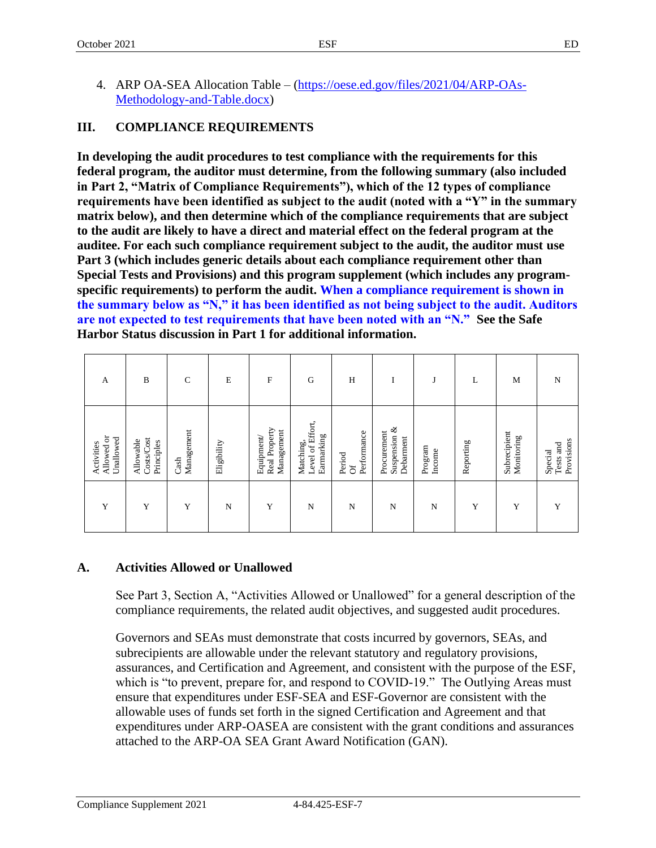4. ARP OA-SEA Allocation Table – [\(https://oese.ed.gov/files/2021/04/ARP-OAs-](https://oese.ed.gov/files/2021/04/ARP-OAs-Methodology-and-Table.docx)[Methodology-and-Table.docx\)](https://oese.ed.gov/files/2021/04/ARP-OAs-Methodology-and-Table.docx)

# **III. COMPLIANCE REQUIREMENTS**

**In developing the audit procedures to test compliance with the requirements for this federal program, the auditor must determine, from the following summary (also included in Part 2, "Matrix of Compliance Requirements"), which of the 12 types of compliance requirements have been identified as subject to the audit (noted with a "Y" in the summary matrix below), and then determine which of the compliance requirements that are subject to the audit are likely to have a direct and material effect on the federal program at the auditee. For each such compliance requirement subject to the audit, the auditor must use Part 3 (which includes generic details about each compliance requirement other than Special Tests and Provisions) and this program supplement (which includes any programspecific requirements) to perform the audit. When a compliance requirement is shown in the summary below as "N," it has been identified as not being subject to the audit. Auditors are not expected to test requirements that have been noted with an "N." See the Safe Harbor Status discussion in Part 1 for additional information.**

| A                                     | B                                     | $\mathsf{C}$       | E           | F                                        | G                                           | H                          | т<br>-                                   | J                 | L         | M                          | N                                  |
|---------------------------------------|---------------------------------------|--------------------|-------------|------------------------------------------|---------------------------------------------|----------------------------|------------------------------------------|-------------------|-----------|----------------------------|------------------------------------|
| Allowed or<br>Unallowed<br>Activities | Costs/Cost<br>Allowable<br>Principles | Management<br>Cash | Eligibility | Real Property<br>Management<br>Equipment | Matching,<br>Level of Effort,<br>Earmarking | Performance<br>Period<br>ಕ | Suspension &<br>Procurement<br>Debarnent | Program<br>Income | Reporting | Subrecipient<br>Monitoring | Provisions<br>Tests and<br>Special |
| Y                                     | Y                                     | Y                  | N           | Y                                        | N                                           | N                          | N                                        | N                 | Y         | Y                          | Y                                  |

# **A. Activities Allowed or Unallowed**

See Part 3, Section A, "Activities Allowed or Unallowed" for a general description of the compliance requirements, the related audit objectives, and suggested audit procedures.

Governors and SEAs must demonstrate that costs incurred by governors, SEAs, and subrecipients are allowable under the relevant statutory and regulatory provisions, assurances, and Certification and Agreement, and consistent with the purpose of the ESF, which is "to prevent, prepare for, and respond to COVID-19." The Outlying Areas must ensure that expenditures under ESF-SEA and ESF-Governor are consistent with the allowable uses of funds set forth in the signed Certification and Agreement and that expenditures under ARP-OASEA are consistent with the grant conditions and assurances attached to the ARP-OA SEA Grant Award Notification (GAN).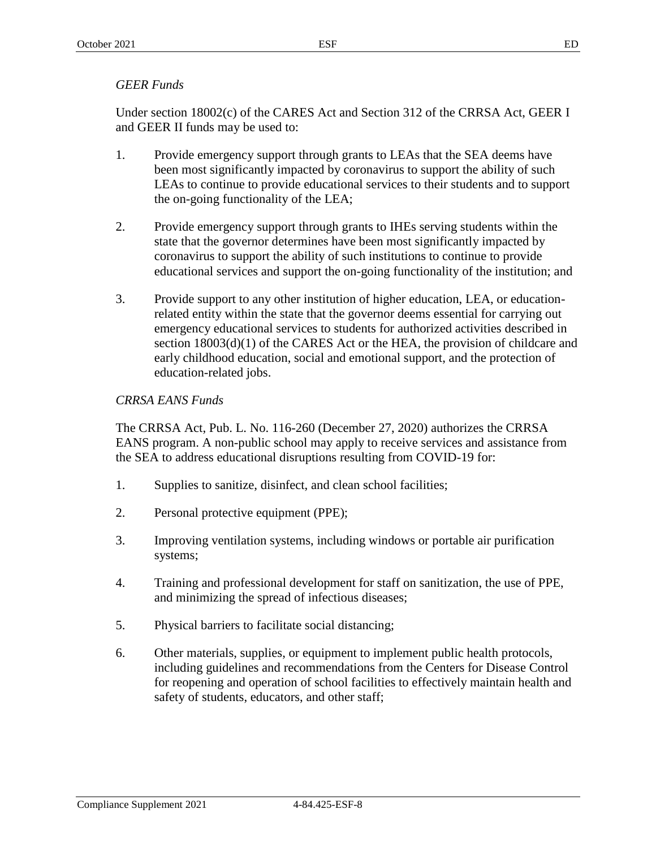# *GEER Funds*

Under section 18002(c) of the CARES Act and Section 312 of the CRRSA Act, GEER I and GEER II funds may be used to:

- 1. Provide emergency support through grants to LEAs that the SEA deems have been most significantly impacted by coronavirus to support the ability of such LEAs to continue to provide educational services to their students and to support the on-going functionality of the LEA;
- 2. Provide emergency support through grants to IHEs serving students within the state that the governor determines have been most significantly impacted by coronavirus to support the ability of such institutions to continue to provide educational services and support the on-going functionality of the institution; and
- 3. Provide support to any other institution of higher education, LEA, or educationrelated entity within the state that the governor deems essential for carrying out emergency educational services to students for authorized activities described in section 18003(d)(1) of the CARES Act or the HEA, the provision of childcare and early childhood education, social and emotional support, and the protection of education-related jobs.

# *CRRSA EANS Funds*

The CRRSA Act, Pub. L. No. 116-260 (December 27, 2020) authorizes the CRRSA EANS program. A non-public school may apply to receive services and assistance from the SEA to address educational disruptions resulting from COVID-19 for:

- 1. Supplies to sanitize, disinfect, and clean school facilities;
- 2. Personal protective equipment (PPE);
- 3. Improving ventilation systems, including windows or portable air purification systems;
- 4. Training and professional development for staff on sanitization, the use of PPE, and minimizing the spread of infectious diseases;
- 5. Physical barriers to facilitate social distancing;
- 6. Other materials, supplies, or equipment to implement public health protocols, including guidelines and recommendations from the Centers for Disease Control for reopening and operation of school facilities to effectively maintain health and safety of students, educators, and other staff;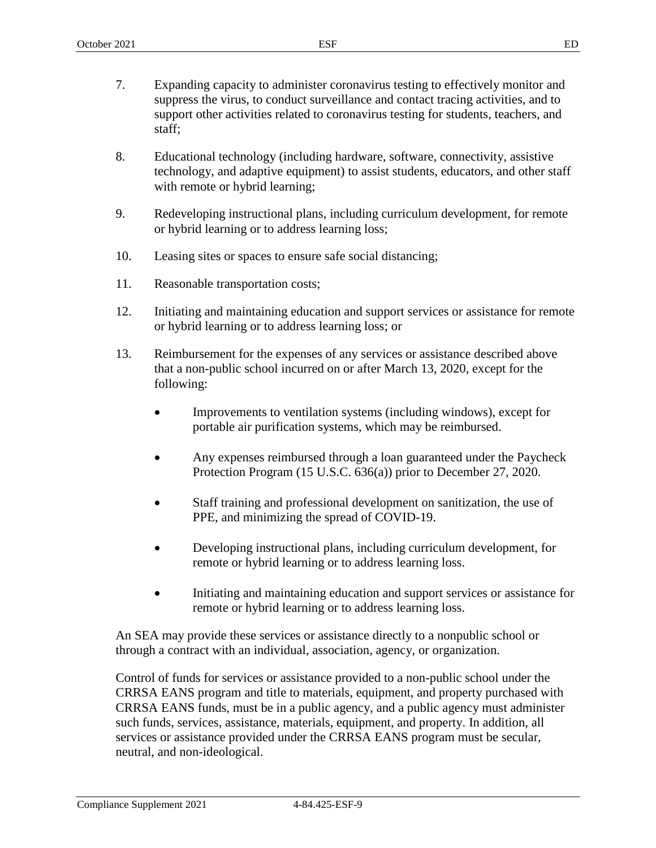- 7. Expanding capacity to administer coronavirus testing to effectively monitor and suppress the virus, to conduct surveillance and contact tracing activities, and to support other activities related to coronavirus testing for students, teachers, and staff;
- 8. Educational technology (including hardware, software, connectivity, assistive technology, and adaptive equipment) to assist students, educators, and other staff with remote or hybrid learning;
- 9. Redeveloping instructional plans, including curriculum development, for remote or hybrid learning or to address learning loss;
- 10. Leasing sites or spaces to ensure safe social distancing;
- 11. Reasonable transportation costs;
- 12. Initiating and maintaining education and support services or assistance for remote or hybrid learning or to address learning loss; or
- 13. Reimbursement for the expenses of any services or assistance described above that a non-public school incurred on or after March 13, 2020, except for the following:
	- Improvements to ventilation systems (including windows), except for portable air purification systems, which may be reimbursed.
	- Any expenses reimbursed through a loan guaranteed under the Paycheck Protection Program (15 U.S.C. 636(a)) prior to December 27, 2020.
	- Staff training and professional development on sanitization, the use of PPE, and minimizing the spread of COVID-19.
	- Developing instructional plans, including curriculum development, for remote or hybrid learning or to address learning loss.
	- Initiating and maintaining education and support services or assistance for remote or hybrid learning or to address learning loss.

An SEA may provide these services or assistance directly to a nonpublic school or through a contract with an individual, association, agency, or organization.

Control of funds for services or assistance provided to a non-public school under the CRRSA EANS program and title to materials, equipment, and property purchased with CRRSA EANS funds, must be in a public agency, and a public agency must administer such funds, services, assistance, materials, equipment, and property. In addition, all services or assistance provided under the CRRSA EANS program must be secular, neutral, and non-ideological.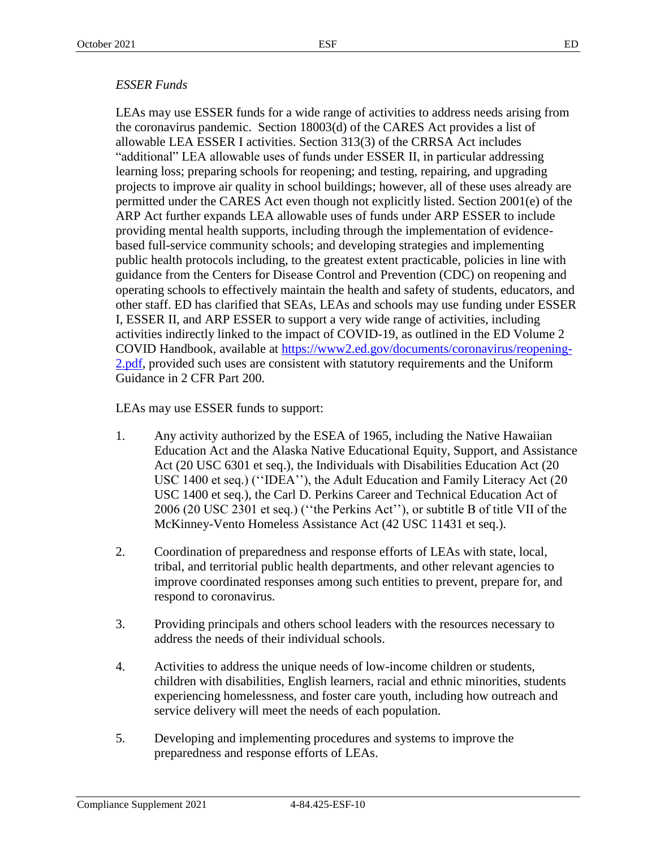#### *ESSER Funds*

LEAs may use ESSER funds for a wide range of activities to address needs arising from the coronavirus pandemic. Section 18003(d) of the CARES Act provides a list of allowable LEA ESSER I activities. Section 313(3) of the CRRSA Act includes "additional" LEA allowable uses of funds under ESSER II, in particular addressing learning loss; preparing schools for reopening; and testing, repairing, and upgrading projects to improve air quality in school buildings; however, all of these uses already are permitted under the CARES Act even though not explicitly listed. Section 2001(e) of the ARP Act further expands LEA allowable uses of funds under ARP ESSER to include providing mental health supports, including through the implementation of evidencebased full-service community schools; and developing strategies and implementing public health protocols including, to the greatest extent practicable, policies in line with guidance from the Centers for Disease Control and Prevention (CDC) on reopening and operating schools to effectively maintain the health and safety of students, educators, and other staff. ED has clarified that SEAs, LEAs and schools may use funding under ESSER I, ESSER II, and ARP ESSER to support a very wide range of activities, including activities indirectly linked to the impact of COVID-19, as outlined in the ED Volume 2 COVID Handbook, available at [https://www2.ed.gov/documents/coronavirus/reopening-](https://www2.ed.gov/documents/coronavirus/reopening-2.pdf)[2.pdf,](https://www2.ed.gov/documents/coronavirus/reopening-2.pdf) provided such uses are consistent with statutory requirements and the Uniform Guidance in 2 CFR Part 200.

LEAs may use ESSER funds to support:

- 1. Any activity authorized by the ESEA of 1965, including the Native Hawaiian Education Act and the Alaska Native Educational Equity, Support, and Assistance Act (20 USC 6301 et seq.), the Individuals with Disabilities Education Act (20 USC 1400 et seq.) (''IDEA''), the Adult Education and Family Literacy Act (20 USC 1400 et seq.), the Carl D. Perkins Career and Technical Education Act of 2006 (20 USC 2301 et seq.) (''the Perkins Act''), or subtitle B of title VII of the McKinney-Vento Homeless Assistance Act (42 USC 11431 et seq.).
- 2. Coordination of preparedness and response efforts of LEAs with state, local, tribal, and territorial public health departments, and other relevant agencies to improve coordinated responses among such entities to prevent, prepare for, and respond to coronavirus.
- 3. Providing principals and others school leaders with the resources necessary to address the needs of their individual schools.
- 4. Activities to address the unique needs of low-income children or students, children with disabilities, English learners, racial and ethnic minorities, students experiencing homelessness, and foster care youth, including how outreach and service delivery will meet the needs of each population.
- 5. Developing and implementing procedures and systems to improve the preparedness and response efforts of LEAs.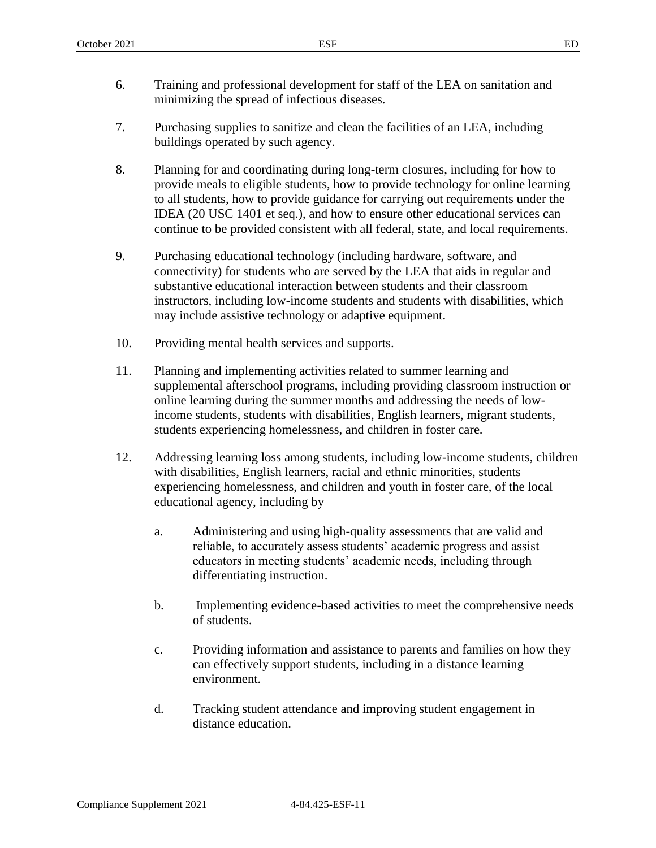- 6. Training and professional development for staff of the LEA on sanitation and minimizing the spread of infectious diseases.
- 7. Purchasing supplies to sanitize and clean the facilities of an LEA, including buildings operated by such agency.
- 8. Planning for and coordinating during long-term closures, including for how to provide meals to eligible students, how to provide technology for online learning to all students, how to provide guidance for carrying out requirements under the IDEA (20 USC 1401 et seq.), and how to ensure other educational services can continue to be provided consistent with all federal, state, and local requirements.
- 9. Purchasing educational technology (including hardware, software, and connectivity) for students who are served by the LEA that aids in regular and substantive educational interaction between students and their classroom instructors, including low-income students and students with disabilities, which may include assistive technology or adaptive equipment.
- 10. Providing mental health services and supports.
- 11. Planning and implementing activities related to summer learning and supplemental afterschool programs, including providing classroom instruction or online learning during the summer months and addressing the needs of lowincome students, students with disabilities, English learners, migrant students, students experiencing homelessness, and children in foster care.
- 12. Addressing learning loss among students, including low-income students, children with disabilities, English learners, racial and ethnic minorities, students experiencing homelessness, and children and youth in foster care, of the local educational agency, including by
	- a. Administering and using high-quality assessments that are valid and reliable, to accurately assess students' academic progress and assist educators in meeting students' academic needs, including through differentiating instruction.
	- b. Implementing evidence-based activities to meet the comprehensive needs of students.
	- c. Providing information and assistance to parents and families on how they can effectively support students, including in a distance learning environment.
	- d. Tracking student attendance and improving student engagement in distance education.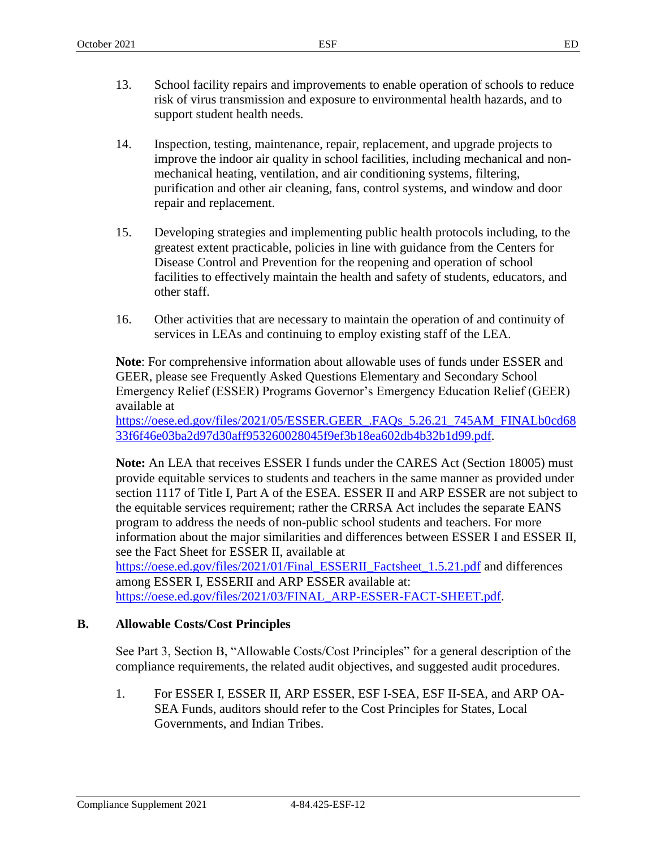- 13. School facility repairs and improvements to enable operation of schools to reduce risk of virus transmission and exposure to environmental health hazards, and to support student health needs.
- 14. Inspection, testing, maintenance, repair, replacement, and upgrade projects to improve the indoor air quality in school facilities, including mechanical and nonmechanical heating, ventilation, and air conditioning systems, filtering, purification and other air cleaning, fans, control systems, and window and door repair and replacement.
- 15. Developing strategies and implementing public health protocols including, to the greatest extent practicable, policies in line with guidance from the Centers for Disease Control and Prevention for the reopening and operation of school facilities to effectively maintain the health and safety of students, educators, and other staff.
- 16. Other activities that are necessary to maintain the operation of and continuity of services in LEAs and continuing to employ existing staff of the LEA.

**Note**: For comprehensive information about allowable uses of funds under ESSER and GEER, please see Frequently Asked Questions Elementary and Secondary School Emergency Relief (ESSER) Programs Governor's Emergency Education Relief (GEER) available at

[https://oese.ed.gov/files/2021/05/ESSER.GEER\\_.FAQs\\_5.26.21\\_745AM\\_FINALb0cd68](https://oese.ed.gov/files/2021/05/ESSER.GEER_.FAQs_5.26.21_745AM_FINALb0cd6833f6f46e03ba2d97d30aff953260028045f9ef3b18ea602db4b32b1d99.pdf) [33f6f46e03ba2d97d30aff953260028045f9ef3b18ea602db4b32b1d99.pdf.](https://oese.ed.gov/files/2021/05/ESSER.GEER_.FAQs_5.26.21_745AM_FINALb0cd6833f6f46e03ba2d97d30aff953260028045f9ef3b18ea602db4b32b1d99.pdf)

**Note:** An LEA that receives ESSER I funds under the CARES Act (Section 18005) must provide equitable services to students and teachers in the same manner as provided under section 1117 of Title I, Part A of the ESEA. ESSER II and ARP ESSER are not subject to the equitable services requirement; rather the CRRSA Act includes the separate EANS program to address the needs of non-public school students and teachers. For more information about the major similarities and differences between ESSER I and ESSER II, see the Fact Sheet for ESSER II, available at [https://oese.ed.gov/files/2021/01/Final\\_ESSERII\\_Factsheet\\_1.5.21.pdf](https://oese.ed.gov/files/2021/01/Final_ESSERII_Factsheet_1.5.21.pdf) and differences among ESSER I, ESSERII and ARP ESSER available at:

[https://oese.ed.gov/files/2021/03/FINAL\\_ARP-ESSER-FACT-SHEET.pdf.](https://oese.ed.gov/files/2021/03/FINAL_ARP-ESSER-FACT-SHEET.pdf)

# **B. Allowable Costs/Cost Principles**

See Part 3, Section B, "Allowable Costs/Cost Principles" for a general description of the compliance requirements, the related audit objectives, and suggested audit procedures.

1. For ESSER I, ESSER II, ARP ESSER, ESF I-SEA, ESF II-SEA, and ARP OA-SEA Funds, auditors should refer to the Cost Principles for States, Local Governments, and Indian Tribes.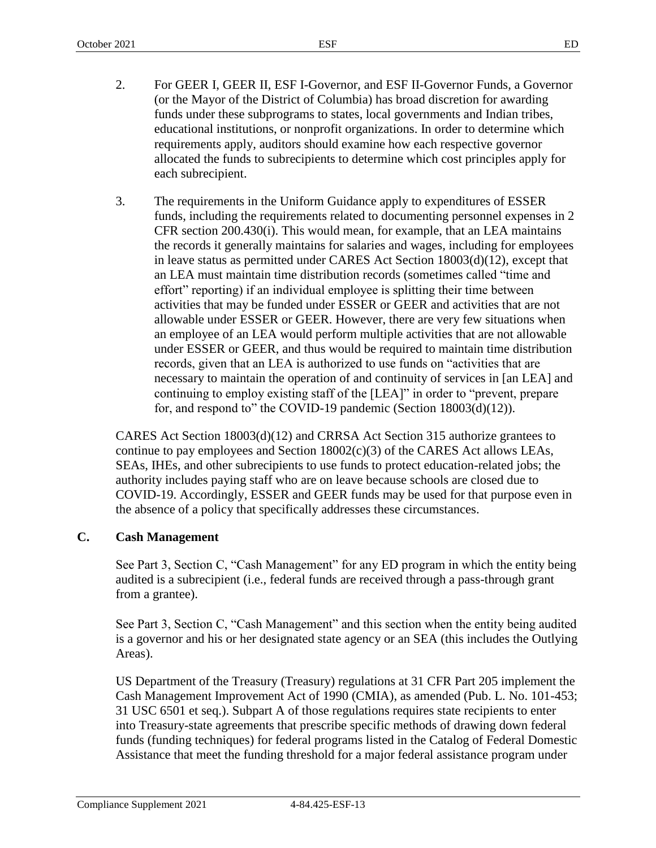- 2. For GEER I, GEER II, ESF I-Governor, and ESF II-Governor Funds, a Governor (or the Mayor of the District of Columbia) has broad discretion for awarding funds under these subprograms to states, local governments and Indian tribes, educational institutions, or nonprofit organizations. In order to determine which requirements apply, auditors should examine how each respective governor allocated the funds to subrecipients to determine which cost principles apply for each subrecipient.
- 3. The requirements in the Uniform Guidance apply to expenditures of ESSER funds, including the requirements related to documenting personnel expenses in 2 CFR section 200.430(i). This would mean, for example, that an LEA maintains the records it generally maintains for salaries and wages, including for employees in leave status as permitted under CARES Act Section 18003(d)(12), except that an LEA must maintain time distribution records (sometimes called "time and effort" reporting) if an individual employee is splitting their time between activities that may be funded under ESSER or GEER and activities that are not allowable under ESSER or GEER. However, there are very few situations when an employee of an LEA would perform multiple activities that are not allowable under ESSER or GEER, and thus would be required to maintain time distribution records, given that an LEA is authorized to use funds on "activities that are necessary to maintain the operation of and continuity of services in [an LEA] and continuing to employ existing staff of the [LEA]" in order to "prevent, prepare for, and respond to" the COVID-19 pandemic (Section 18003(d)(12)).

CARES Act Section 18003(d)(12) and CRRSA Act Section 315 authorize grantees to continue to pay employees and Section  $18002(c)(3)$  of the CARES Act allows LEAs, SEAs, IHEs, and other subrecipients to use funds to protect education-related jobs; the authority includes paying staff who are on leave because schools are closed due to COVID-19. Accordingly, ESSER and GEER funds may be used for that purpose even in the absence of a policy that specifically addresses these circumstances.

# **C. Cash Management**

See Part 3, Section C, "Cash Management" for any ED program in which the entity being audited is a subrecipient (i.e., federal funds are received through a pass-through grant from a grantee).

See Part 3, Section C, "Cash Management" and this section when the entity being audited is a governor and his or her designated state agency or an SEA (this includes the Outlying Areas).

US Department of the Treasury (Treasury) regulations at 31 CFR Part 205 implement the Cash Management Improvement Act of 1990 (CMIA), as amended (Pub. L. No. 101-453; 31 USC 6501 et seq.). Subpart A of those regulations requires state recipients to enter into Treasury-state agreements that prescribe specific methods of drawing down federal funds (funding techniques) for federal programs listed in the Catalog of Federal Domestic Assistance that meet the funding threshold for a major federal assistance program under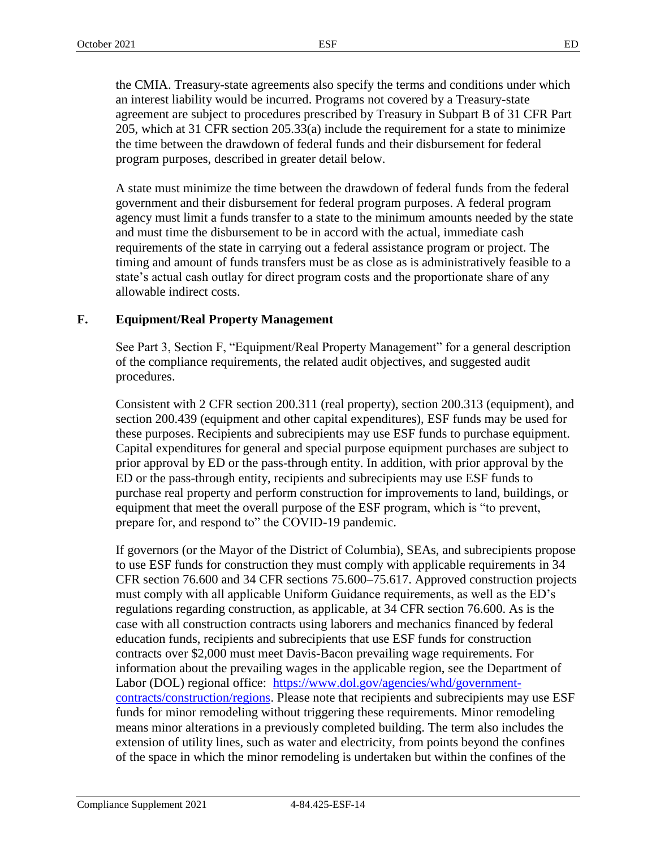the CMIA. Treasury-state agreements also specify the terms and conditions under which an interest liability would be incurred. Programs not covered by a Treasury-state agreement are subject to procedures prescribed by Treasury in Subpart B of 31 CFR Part 205, which at 31 CFR section 205.33(a) include the requirement for a state to minimize the time between the drawdown of federal funds and their disbursement for federal program purposes, described in greater detail below.

A state must minimize the time between the drawdown of federal funds from the federal government and their disbursement for federal program purposes. A federal program agency must limit a funds transfer to a state to the minimum amounts needed by the state and must time the disbursement to be in accord with the actual, immediate cash requirements of the state in carrying out a federal assistance program or project. The timing and amount of funds transfers must be as close as is administratively feasible to a state's actual cash outlay for direct program costs and the proportionate share of any allowable indirect costs.

# **F. Equipment/Real Property Management**

See Part 3, Section F, "Equipment/Real Property Management" for a general description of the compliance requirements, the related audit objectives, and suggested audit procedures.

Consistent with 2 CFR section 200.311 (real property), section 200.313 (equipment), and section 200.439 (equipment and other capital expenditures), ESF funds may be used for these purposes. Recipients and subrecipients may use ESF funds to purchase equipment. Capital expenditures for general and special purpose equipment purchases are subject to prior approval by ED or the pass-through entity. In addition, with prior approval by the ED or the pass-through entity, recipients and subrecipients may use ESF funds to purchase real property and perform construction for improvements to land, buildings, or equipment that meet the overall purpose of the ESF program, which is "to prevent, prepare for, and respond to" the COVID-19 pandemic.

If governors (or the Mayor of the District of Columbia), SEAs, and subrecipients propose to use ESF funds for construction they must comply with applicable requirements in 34 CFR section 76.600 and 34 CFR sections 75.600–75.617. Approved construction projects must comply with all applicable Uniform Guidance requirements, as well as the ED's regulations regarding construction, as applicable, at 34 CFR section 76.600. As is the case with all construction contracts using laborers and mechanics financed by federal education funds, recipients and subrecipients that use ESF funds for construction contracts over \$2,000 must meet Davis-Bacon prevailing wage requirements. For information about the prevailing wages in the applicable region, see the Department of Labor (DOL) regional office: [https://www.dol.gov/agencies/whd/government](https://www.dol.gov/agencies/whd/government-contracts/construction/regions)[contracts/construction/regions.](https://www.dol.gov/agencies/whd/government-contracts/construction/regions) Please note that recipients and subrecipients may use ESF funds for minor remodeling without triggering these requirements. Minor remodeling means minor alterations in a previously completed building. The term also includes the extension of utility lines, such as water and electricity, from points beyond the confines of the space in which the minor remodeling is undertaken but within the confines of the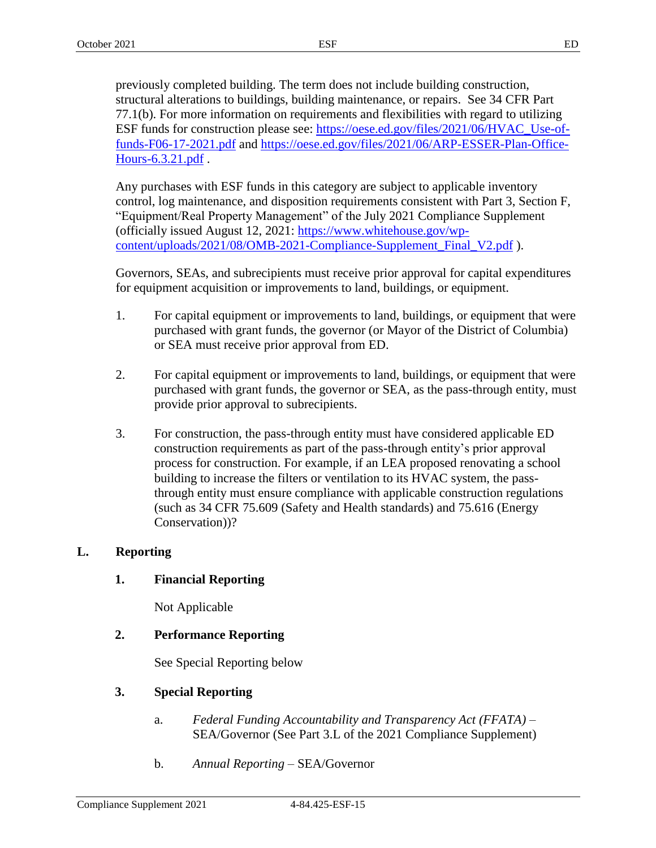previously completed building. The term does not include building construction, structural alterations to buildings, building maintenance, or repairs. See 34 CFR Part 77.1(b). For more information on requirements and flexibilities with regard to utilizing ESF funds for construction please see: [https://oese.ed.gov/files/2021/06/HVAC\\_Use-of](https://oese.ed.gov/files/2021/06/HVAC_Use-of-funds-F06-17-2021.pdf)[funds-F06-17-2021.pdf](https://oese.ed.gov/files/2021/06/HVAC_Use-of-funds-F06-17-2021.pdf) and [https://oese.ed.gov/files/2021/06/ARP-ESSER-Plan-Office-](https://oese.ed.gov/files/2021/06/ARP-ESSER-Plan-Office-Hours-6.3.21.pdf)[Hours-6.3.21.pdf](https://oese.ed.gov/files/2021/06/ARP-ESSER-Plan-Office-Hours-6.3.21.pdf) .

Any purchases with ESF funds in this category are subject to applicable inventory control, log maintenance, and disposition requirements consistent with Part 3, Section F, "Equipment/Real Property Management" of the July 2021 Compliance Supplement (officially issued August 12, 2021: [https://www.whitehouse.gov/wp](https://www.whitehouse.gov/wp-content/uploads/2021/08/OMB-2021-Compliance-Supplement_Final_V2.pdf)[content/uploads/2021/08/OMB-2021-Compliance-Supplement\\_Final\\_V2.pdf](https://www.whitehouse.gov/wp-content/uploads/2021/08/OMB-2021-Compliance-Supplement_Final_V2.pdf) ).

Governors, SEAs, and subrecipients must receive prior approval for capital expenditures for equipment acquisition or improvements to land, buildings, or equipment.

- 1. For capital equipment or improvements to land, buildings, or equipment that were purchased with grant funds, the governor (or Mayor of the District of Columbia) or SEA must receive prior approval from ED.
- 2. For capital equipment or improvements to land, buildings, or equipment that were purchased with grant funds, the governor or SEA, as the pass-through entity, must provide prior approval to subrecipients.
- 3. For construction, the pass-through entity must have considered applicable ED construction requirements as part of the pass-through entity's prior approval process for construction. For example, if an LEA proposed renovating a school building to increase the filters or ventilation to its HVAC system, the passthrough entity must ensure compliance with applicable construction regulations (such as 34 CFR 75.609 (Safety and Health standards) and 75.616 (Energy Conservation))?

# **L. Reporting**

# **1. Financial Reporting**

Not Applicable

# **2. Performance Reporting**

See Special Reporting below

# **3. Special Reporting**

- a. *Federal Funding Accountability and Transparency Act (FFATA) –* SEA/Governor (See Part 3.L of the 2021 Compliance Supplement)
- b. *Annual Reporting –* SEA/Governor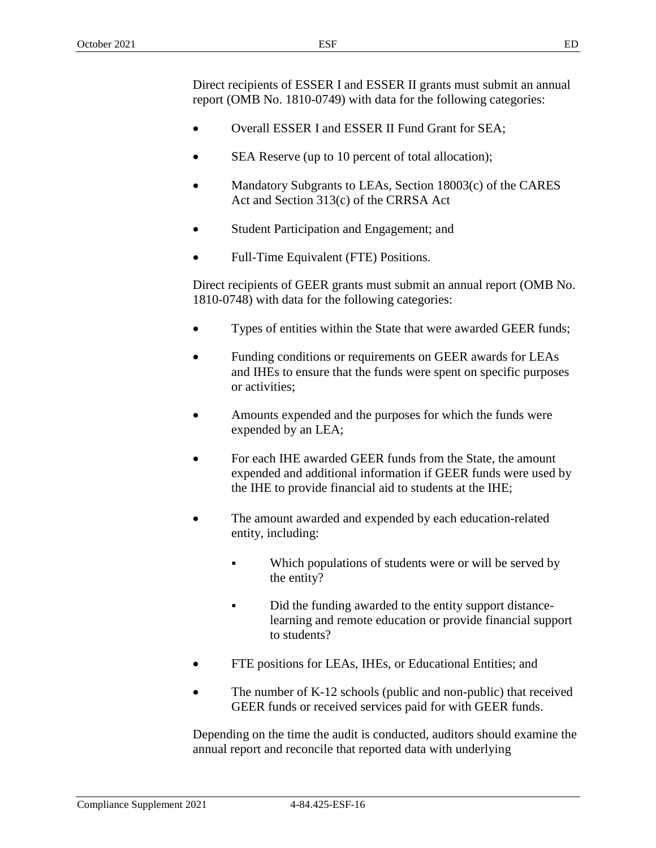Direct recipients of ESSER I and ESSER II grants must submit an annual report (OMB No. 1810-0749) with data for the following categories:

- Overall ESSER I and ESSER II Fund Grant for SEA;
- SEA Reserve (up to 10 percent of total allocation);
- Mandatory Subgrants to LEAs, Section 18003(c) of the CARES Act and Section 313(c) of the CRRSA Act
- Student Participation and Engagement; and
- Full-Time Equivalent (FTE) Positions.

Direct recipients of GEER grants must submit an annual report (OMB No. 1810-0748) with data for the following categories:

- Types of entities within the State that were awarded GEER funds;
- Funding conditions or requirements on GEER awards for LEAs and IHEs to ensure that the funds were spent on specific purposes or activities;
- Amounts expended and the purposes for which the funds were expended by an LEA;
- For each IHE awarded GEER funds from the State, the amount expended and additional information if GEER funds were used by the IHE to provide financial aid to students at the IHE;
- The amount awarded and expended by each education-related entity, including:
	- Which populations of students were or will be served by the entity?
	- Did the funding awarded to the entity support distancelearning and remote education or provide financial support to students?
- FTE positions for LEAs, IHEs, or Educational Entities; and
- The number of K-12 schools (public and non-public) that received GEER funds or received services paid for with GEER funds.

Depending on the time the audit is conducted, auditors should examine the annual report and reconcile that reported data with underlying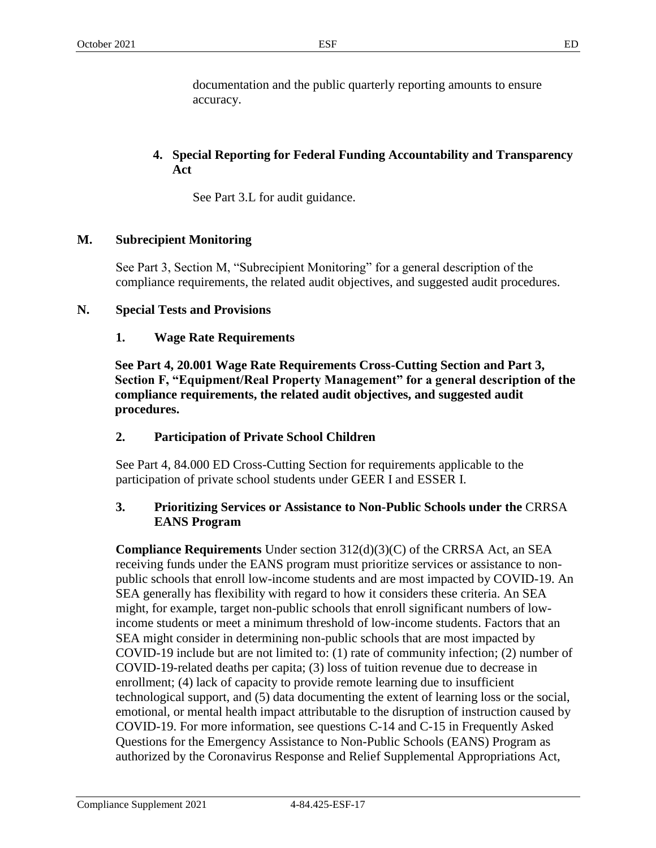documentation and the public quarterly reporting amounts to ensure accuracy.

# **4. Special Reporting for Federal Funding Accountability and Transparency Act**

See Part 3.L for audit guidance.

# **M. Subrecipient Monitoring**

See Part 3, Section M, "Subrecipient Monitoring" for a general description of the compliance requirements, the related audit objectives, and suggested audit procedures.

#### **N. Special Tests and Provisions**

#### **1. Wage Rate Requirements**

**See Part 4, 20.001 Wage Rate Requirements Cross-Cutting Section and Part 3, Section F, "Equipment/Real Property Management" for a general description of the compliance requirements, the related audit objectives, and suggested audit procedures.**

# **2. Participation of Private School Children**

See Part 4, 84.000 ED Cross-Cutting Section for requirements applicable to the participation of private school students under GEER I and ESSER I.

# **3. Prioritizing Services or Assistance to Non-Public Schools under the** CRRSA **EANS Program**

**Compliance Requirements** Under section 312(d)(3)(C) of the CRRSA Act, an SEA receiving funds under the EANS program must prioritize services or assistance to nonpublic schools that enroll low-income students and are most impacted by COVID-19. An SEA generally has flexibility with regard to how it considers these criteria. An SEA might, for example, target non-public schools that enroll significant numbers of lowincome students or meet a minimum threshold of low-income students. Factors that an SEA might consider in determining non-public schools that are most impacted by COVID-19 include but are not limited to: (1) rate of community infection; (2) number of COVID-19-related deaths per capita; (3) loss of tuition revenue due to decrease in enrollment; (4) lack of capacity to provide remote learning due to insufficient technological support, and (5) data documenting the extent of learning loss or the social, emotional, or mental health impact attributable to the disruption of instruction caused by COVID-19. For more information, see questions C-14 and C-15 in Frequently Asked Questions for the Emergency Assistance to Non-Public Schools (EANS) Program as authorized by the Coronavirus Response and Relief Supplemental Appropriations Act,